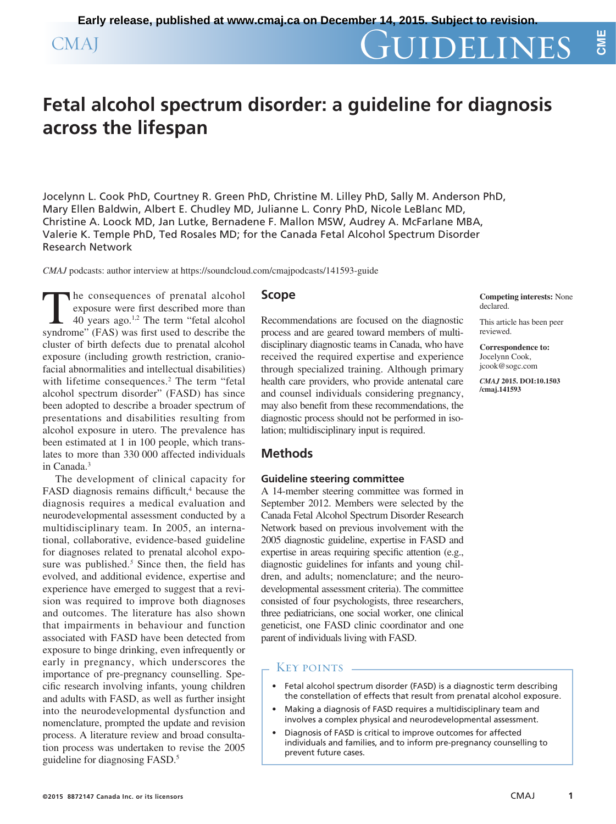## CMAJ GUIDELINES

# **CME**

## **Fetal alcohol spectrum disorder: a guideline for diagnosis across the lifespan**

Jocelynn L. Cook PhD, Courtney R. Green PhD, Christine M. Lilley PhD, Sally M. Anderson PhD, Mary Ellen Baldwin, Albert E. Chudley MD, Julianne L. Conry PhD, Nicole LeBlanc MD, Christine A. Loock MD, Jan Lutke, Bernadene F. Mallon MSW, Audrey A. McFarlane MBA, Valerie K. Temple PhD, Ted Rosales MD; for the Canada Fetal Alcohol Spectrum Disorder Research Network

*CMAJ* podcasts: author interview at https://soundcloud.com/cmajpodcasts/141593-guide

The consequences of prenatal alcohol<br>exposure were first described more than<br>40 years ago.<sup>1,2</sup> The term "fetal alcohol<br>syndrome" (EAS) was first used to describe the exposure were first described more than syndrome" (FAS) was first used to describe the cluster of birth defects due to prenatal alcohol exposure (including growth restriction, craniofacial abnormalities and intellectual disabilities) with lifetime consequences.<sup>2</sup> The term "fetal alcohol spectrum disorder" (FASD) has since been adopted to describe a broader spectrum of presentations and disabilities resulting from alcohol exposure in utero. The prevalence has been estimated at 1 in 100 people, which translates to more than 330 000 affected individuals in Canada.3

The development of clinical capacity for FASD diagnosis remains difficult,<sup>4</sup> because the diagnosis requires a medical evaluation and neurodevelopmental assessment conducted by a multidisciplinary team. In 2005, an international, collaborative, evidence-based guideline for diagnoses related to prenatal alcohol exposure was published. $<sup>5</sup>$  Since then, the field has</sup> evolved, and additional evidence, expertise and experience have emerged to suggest that a revision was required to improve both diagnoses and outcomes. The literature has also shown that impairments in behaviour and function associated with FASD have been detected from exposure to binge drinking, even infrequently or early in pregnancy, which underscores the importance of pre-pregnancy counselling. Specific research involving infants, young children and adults with FASD, as well as further insight into the neurodevelopmental dysfunction and nomenclature, prompted the update and revision process. A literature review and broad consultation process was undertaken to revise the 2005 guideline for diagnosing FASD.5

### **Scope**

Recommendations are focused on the diagnostic process and are geared toward members of multidisciplinary diagnostic teams in Canada, who have received the required expertise and experience through specialized training. Although primary health care providers, who provide antenatal care and counsel individuals considering pregnancy, may also benefit from these recommendations, the diagnostic process should not be performed in isolation; multidisciplinary input is required.

## **Methods**

## **Guideline steering committee**

A 14-member steering committee was formed in September 2012. Members were selected by the Canada Fetal Alcohol Spectrum Disorder Research Network based on previous involvement with the 2005 diagnostic guideline, expertise in FASD and expertise in areas requiring specific attention (e.g., diagnostic guidelines for infants and young children, and adults; nomenclature; and the neurodevelopmental assessment criteria). The committee consisted of four psychologists, three researchers, three pediatricians, one social worker, one clinical geneticist, one FASD clinic coordinator and one parent of individuals living with FASD.

## KEY POINTS

- Fetal alcohol spectrum disorder (FASD) is a diagnostic term describing the constellation of effects that result from prenatal alcohol exposure.
- Making a diagnosis of FASD requires a multidisciplinary team and involves a complex physical and neurodevelopmental assessment.
- Diagnosis of FASD is critical to improve outcomes for affected individuals and families, and to inform pre-pregnancy counselling to prevent future cases.

**Competing interests:** None declared.

This article has been peer reviewed.

**Correspondence to:** Jocelynn Cook, jcook@sogc.com

*CMAJ* **2015. DOI:10.1503 /cmaj.141593**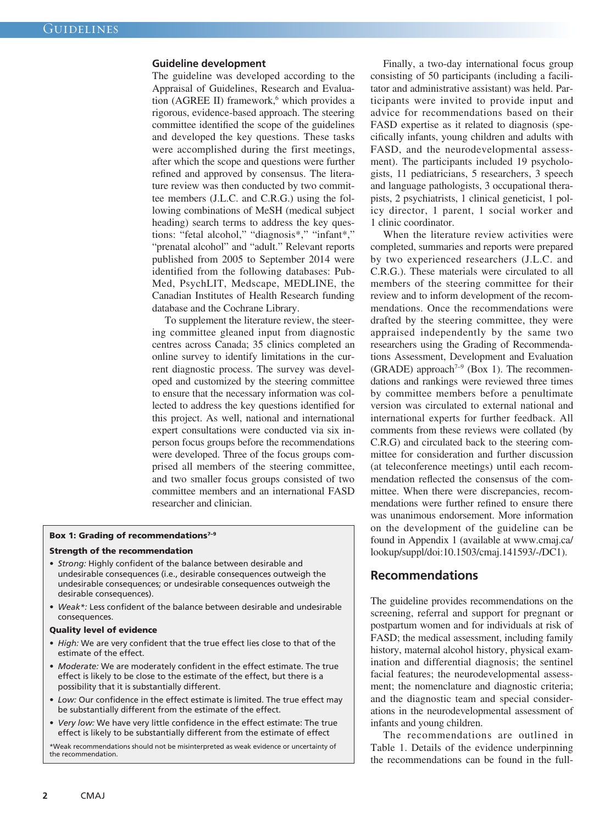#### **Guideline development**

The guideline was developed according to the Appraisal of Guidelines, Research and Evaluation (AGREE II) framework,<sup>6</sup> which provides a rigorous, evidence-based approach. The steering committee identified the scope of the guidelines and developed the key questions. These tasks were accomplished during the first meetings, after which the scope and questions were further refined and approved by consensus. The literature review was then conducted by two committee members (J.L.C. and C.R.G.) using the following combinations of MeSH (medical subject heading) search terms to address the key questions: "fetal alcohol," "diagnosis\*," "infant\*," "prenatal alcohol" and "adult." Relevant reports published from 2005 to September 2014 were identified from the following databases: Pub-Med, PsychLIT, Medscape, MEDLINE, the Canadian Institutes of Health Research funding database and the Cochrane Library.

To supplement the literature review, the steering committee gleaned input from diagnostic centres across Canada; 35 clinics completed an online survey to identify limitations in the current diagnostic process. The survey was developed and customized by the steering committee to ensure that the necessary information was collected to address the key questions identified for this project. As well, national and international expert consultations were conducted via six inperson focus groups before the recommendations were developed. Three of the focus groups comprised all members of the steering committee, and two smaller focus groups consisted of two committee members and an international FASD researcher and clinician.

#### Box 1: Grading of recommendations<sup>7-9</sup>

#### Strength of the recommendation

- *Strong:* Highly confident of the balance between desirable and undesirable consequences (i.e., desirable consequences outweigh the undesirable consequences; or undesirable consequences outweigh the desirable consequences).
- *Weak\*:* Less confident of the balance between desirable and undesirable consequences.

#### Quality level of evidence

- *High:* We are very confident that the true effect lies close to that of the estimate of the effect.
- *Moderate:* We are moderately confident in the effect estimate. The true effect is likely to be close to the estimate of the effect, but there is a possibility that it is substantially different.
- *Low:* Our confidence in the effect estimate is limited. The true effect may be substantially different from the estimate of the effect.
- *Very low:* We have very little confidence in the effect estimate: The true effect is likely to be substantially different from the estimate of effect

\*Weak recommendations should not be misinterpreted as weak evidence or uncertainty of the recommendation.

Finally, a two-day international focus group consisting of 50 participants (including a facilitator and administrative assistant) was held. Participants were invited to provide input and advice for recommendations based on their FASD expertise as it related to diagnosis (specifically infants, young children and adults with FASD, and the neurodevelopmental assessment). The participants included 19 psychologists, 11 pediatricians, 5 researchers, 3 speech and language pathologists, 3 occupational therapists, 2 psychiatrists, 1 clinical geneticist, 1 policy director, 1 parent, 1 social worker and 1 clinic coordinator.

When the literature review activities were completed, summaries and reports were prepared by two experienced researchers (J.L.C. and C.R.G.). These materials were circulated to all members of the steering committee for their review and to inform development of the recommendations. Once the recommendations were drafted by the steering committee, they were appraised independently by the same two researchers using the Grading of Recommendations Assessment, Development and Evaluation (GRADE) approach<sup> $7-9$ </sup> (Box 1). The recommendations and rankings were reviewed three times by committee members before a penultimate version was circulated to external national and international experts for further feedback. All comments from these reviews were collated (by C.R.G) and circulated back to the steering committee for consideration and further discussion (at teleconference meetings) until each recommendation reflected the consensus of the committee. When there were discrepancies, recommendations were further refined to ensure there was unanimous endorsement. More information on the development of the guideline can be found in Appendix 1 (available at [www.cmaj.ca/](http://www.cmaj.ca/lookup/suppl/doi:10.1503/cmaj.141593/-/DC1) [lookup/suppl/doi:10.1503/cmaj.141593/-/DC1](http://www.cmaj.ca/lookup/suppl/doi:10.1503/cmaj.141593/-/DC1)).

## **Recommendations**

The guideline provides recommendations on the screening, referral and support for pregnant or postpartum women and for individuals at risk of FASD; the medical assessment, including family history, maternal alcohol history, physical examination and differential diagnosis; the sentinel facial features; the neurodevelopmental assessment; the nomenclature and diagnostic criteria; and the diagnostic team and special considerations in the neurodevelopmental assessment of infants and young children.

The recommendations are outlined in Table 1. Details of the evidence underpinning the recommendations can be found in the full-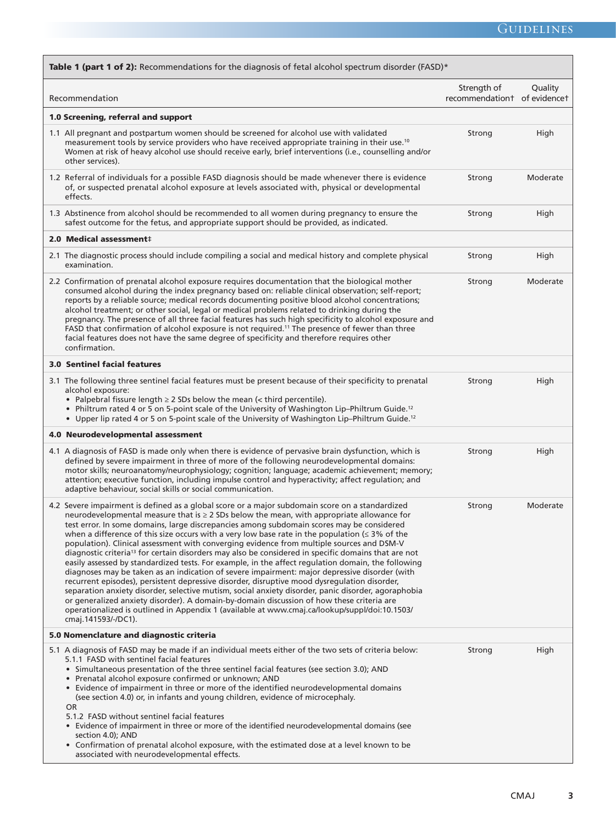| Table 1 (part 1 of 2): Recommendations for the diagnosis of fetal alcohol spectrum disorder (FASD)*                                                                                                                                                                                                                                                                                                                                                                                                                                                                                                                                                                                                                                                                                                                                                                                                                                                                                                                                                                                                                                                                                                                                                       |                                             |          |  |  |
|-----------------------------------------------------------------------------------------------------------------------------------------------------------------------------------------------------------------------------------------------------------------------------------------------------------------------------------------------------------------------------------------------------------------------------------------------------------------------------------------------------------------------------------------------------------------------------------------------------------------------------------------------------------------------------------------------------------------------------------------------------------------------------------------------------------------------------------------------------------------------------------------------------------------------------------------------------------------------------------------------------------------------------------------------------------------------------------------------------------------------------------------------------------------------------------------------------------------------------------------------------------|---------------------------------------------|----------|--|--|
| Recommendation                                                                                                                                                                                                                                                                                                                                                                                                                                                                                                                                                                                                                                                                                                                                                                                                                                                                                                                                                                                                                                                                                                                                                                                                                                            | Strength of<br>recommendationt of evidencet | Quality  |  |  |
| 1.0 Screening, referral and support                                                                                                                                                                                                                                                                                                                                                                                                                                                                                                                                                                                                                                                                                                                                                                                                                                                                                                                                                                                                                                                                                                                                                                                                                       |                                             |          |  |  |
| 1.1 All pregnant and postpartum women should be screened for alcohol use with validated<br>measurement tools by service providers who have received appropriate training in their use. <sup>10</sup><br>Women at risk of heavy alcohol use should receive early, brief interventions (i.e., counselling and/or<br>other services).                                                                                                                                                                                                                                                                                                                                                                                                                                                                                                                                                                                                                                                                                                                                                                                                                                                                                                                        | Strong                                      | High     |  |  |
| 1.2 Referral of individuals for a possible FASD diagnosis should be made whenever there is evidence<br>of, or suspected prenatal alcohol exposure at levels associated with, physical or developmental<br>effects.                                                                                                                                                                                                                                                                                                                                                                                                                                                                                                                                                                                                                                                                                                                                                                                                                                                                                                                                                                                                                                        | Strong                                      | Moderate |  |  |
| 1.3 Abstinence from alcohol should be recommended to all women during pregnancy to ensure the<br>safest outcome for the fetus, and appropriate support should be provided, as indicated.                                                                                                                                                                                                                                                                                                                                                                                                                                                                                                                                                                                                                                                                                                                                                                                                                                                                                                                                                                                                                                                                  | Strong                                      | High     |  |  |
| 2.0 Medical assessment#                                                                                                                                                                                                                                                                                                                                                                                                                                                                                                                                                                                                                                                                                                                                                                                                                                                                                                                                                                                                                                                                                                                                                                                                                                   |                                             |          |  |  |
| 2.1 The diagnostic process should include compiling a social and medical history and complete physical<br>examination.                                                                                                                                                                                                                                                                                                                                                                                                                                                                                                                                                                                                                                                                                                                                                                                                                                                                                                                                                                                                                                                                                                                                    | Strong                                      | High     |  |  |
| 2.2 Confirmation of prenatal alcohol exposure requires documentation that the biological mother<br>consumed alcohol during the index pregnancy based on: reliable clinical observation; self-report;<br>reports by a reliable source; medical records documenting positive blood alcohol concentrations;<br>alcohol treatment; or other social, legal or medical problems related to drinking during the<br>pregnancy. The presence of all three facial features has such high specificity to alcohol exposure and<br>FASD that confirmation of alcohol exposure is not required. <sup>11</sup> The presence of fewer than three<br>facial features does not have the same degree of specificity and therefore requires other<br>confirmation.                                                                                                                                                                                                                                                                                                                                                                                                                                                                                                            | Strong                                      | Moderate |  |  |
| 3.0 Sentinel facial features                                                                                                                                                                                                                                                                                                                                                                                                                                                                                                                                                                                                                                                                                                                                                                                                                                                                                                                                                                                                                                                                                                                                                                                                                              |                                             |          |  |  |
| 3.1 The following three sentinel facial features must be present because of their specificity to prenatal<br>alcohol exposure:<br>• Palpebral fissure length $\geq 2$ SDs below the mean (< third percentile).<br>• Philtrum rated 4 or 5 on 5-point scale of the University of Washington Lip-Philtrum Guide. <sup>12</sup><br>• Upper lip rated 4 or 5 on 5-point scale of the University of Washington Lip-Philtrum Guide. <sup>12</sup>                                                                                                                                                                                                                                                                                                                                                                                                                                                                                                                                                                                                                                                                                                                                                                                                               | Strong                                      | High     |  |  |
| 4.0 Neurodevelopmental assessment                                                                                                                                                                                                                                                                                                                                                                                                                                                                                                                                                                                                                                                                                                                                                                                                                                                                                                                                                                                                                                                                                                                                                                                                                         |                                             |          |  |  |
| 4.1 A diagnosis of FASD is made only when there is evidence of pervasive brain dysfunction, which is<br>defined by severe impairment in three of more of the following neurodevelopmental domains:<br>motor skills; neuroanatomy/neurophysiology; cognition; language; academic achievement; memory;<br>attention; executive function, including impulse control and hyperactivity; affect regulation; and<br>adaptive behaviour, social skills or social communication.                                                                                                                                                                                                                                                                                                                                                                                                                                                                                                                                                                                                                                                                                                                                                                                  | Strong                                      | High     |  |  |
| 4.2 Severe impairment is defined as a global score or a major subdomain score on a standardized<br>neurodevelopmental measure that is $\geq 2$ SDs below the mean, with appropriate allowance for<br>test error. In some domains, large discrepancies among subdomain scores may be considered<br>when a difference of this size occurs with a very low base rate in the population ( $\leq$ 3% of the<br>population). Clinical assessment with converging evidence from multiple sources and DSM-V<br>diagnostic criteria <sup>13</sup> for certain disorders may also be considered in specific domains that are not<br>easily assessed by standardized tests. For example, in the affect regulation domain, the following<br>diagnoses may be taken as an indication of severe impairment: major depressive disorder (with<br>recurrent episodes), persistent depressive disorder, disruptive mood dysregulation disorder,<br>separation anxiety disorder, selective mutism, social anxiety disorder, panic disorder, agoraphobia<br>or generalized anxiety disorder). A domain-by-domain discussion of how these criteria are<br>operationalized is outlined in Appendix 1 (available at www.cmaj.ca/lookup/suppl/doi:10.1503/<br>cmaj.141593/-/DC1). | Strong                                      | Moderate |  |  |
| 5.0 Nomenclature and diagnostic criteria                                                                                                                                                                                                                                                                                                                                                                                                                                                                                                                                                                                                                                                                                                                                                                                                                                                                                                                                                                                                                                                                                                                                                                                                                  |                                             |          |  |  |
| 5.1 A diagnosis of FASD may be made if an individual meets either of the two sets of criteria below:<br>5.1.1 FASD with sentinel facial features<br>• Simultaneous presentation of the three sentinel facial features (see section 3.0); AND<br>• Prenatal alcohol exposure confirmed or unknown; AND<br>• Evidence of impairment in three or more of the identified neurodevelopmental domains<br>(see section 4.0) or, in infants and young children, evidence of microcephaly.<br><b>OR</b><br>5.1.2 FASD without sentinel facial features<br>• Evidence of impairment in three or more of the identified neurodevelopmental domains (see<br>section 4.0); AND<br>• Confirmation of prenatal alcohol exposure, with the estimated dose at a level known to be<br>associated with neurodevelopmental effects.                                                                                                                                                                                                                                                                                                                                                                                                                                           | Strong                                      | High     |  |  |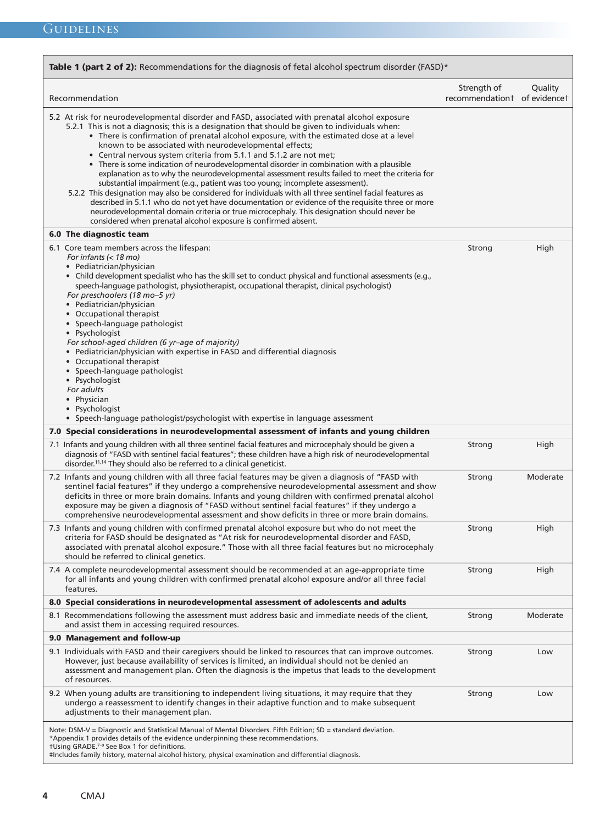| Table 1 (part 2 of 2): Recommendations for the diagnosis of fetal alcohol spectrum disorder (FASD)* |                                                                                                                                                                                                                                                                                                                                                                                                                                                                                                                                                                                                                                                                                                                                                                                                                                                                                                                                                                                                                                                                                               |                                             |          |  |
|-----------------------------------------------------------------------------------------------------|-----------------------------------------------------------------------------------------------------------------------------------------------------------------------------------------------------------------------------------------------------------------------------------------------------------------------------------------------------------------------------------------------------------------------------------------------------------------------------------------------------------------------------------------------------------------------------------------------------------------------------------------------------------------------------------------------------------------------------------------------------------------------------------------------------------------------------------------------------------------------------------------------------------------------------------------------------------------------------------------------------------------------------------------------------------------------------------------------|---------------------------------------------|----------|--|
|                                                                                                     | Recommendation                                                                                                                                                                                                                                                                                                                                                                                                                                                                                                                                                                                                                                                                                                                                                                                                                                                                                                                                                                                                                                                                                | Strength of<br>recommendationt of evidencet | Quality  |  |
|                                                                                                     | 5.2 At risk for neurodevelopmental disorder and FASD, associated with prenatal alcohol exposure<br>5.2.1 This is not a diagnosis; this is a designation that should be given to individuals when:<br>• There is confirmation of prenatal alcohol exposure, with the estimated dose at a level<br>known to be associated with neurodevelopmental effects;<br>• Central nervous system criteria from 5.1.1 and 5.1.2 are not met;<br>• There is some indication of neurodevelopmental disorder in combination with a plausible<br>explanation as to why the neurodevelopmental assessment results failed to meet the criteria for<br>substantial impairment (e.g., patient was too young; incomplete assessment).<br>5.2.2 This designation may also be considered for individuals with all three sentinel facial features as<br>described in 5.1.1 who do not yet have documentation or evidence of the requisite three or more<br>neurodevelopmental domain criteria or true microcephaly. This designation should never be<br>considered when prenatal alcohol exposure is confirmed absent. |                                             |          |  |
|                                                                                                     | 6.0 The diagnostic team                                                                                                                                                                                                                                                                                                                                                                                                                                                                                                                                                                                                                                                                                                                                                                                                                                                                                                                                                                                                                                                                       |                                             |          |  |
|                                                                                                     | 6.1 Core team members across the lifespan:<br>For infants $(< 18$ mo)<br>• Pediatrician/physician<br>• Child development specialist who has the skill set to conduct physical and functional assessments (e.g.,<br>speech-language pathologist, physiotherapist, occupational therapist, clinical psychologist)<br>For preschoolers (18 mo-5 yr)<br>• Pediatrician/physician<br>• Occupational therapist<br>• Speech-language pathologist<br>• Psychologist<br>For school-aged children (6 yr-age of majority)<br>• Pediatrician/physician with expertise in FASD and differential diagnosis<br>• Occupational therapist<br>• Speech-language pathologist<br>• Psychologist<br>For adults<br>• Physician<br>• Psychologist<br>• Speech-language pathologist/psychologist with expertise in language assessment                                                                                                                                                                                                                                                                                | Strong                                      | High     |  |
|                                                                                                     | 7.0 Special considerations in neurodevelopmental assessment of infants and young children                                                                                                                                                                                                                                                                                                                                                                                                                                                                                                                                                                                                                                                                                                                                                                                                                                                                                                                                                                                                     |                                             |          |  |
|                                                                                                     | 7.1 Infants and young children with all three sentinel facial features and microcephaly should be given a<br>diagnosis of "FASD with sentinel facial features"; these children have a high risk of neurodevelopmental<br>disorder. <sup>11,14</sup> They should also be referred to a clinical geneticist.                                                                                                                                                                                                                                                                                                                                                                                                                                                                                                                                                                                                                                                                                                                                                                                    | Strong                                      | High     |  |
|                                                                                                     | 7.2 Infants and young children with all three facial features may be given a diagnosis of "FASD with<br>sentinel facial features" if they undergo a comprehensive neurodevelopmental assessment and show<br>deficits in three or more brain domains. Infants and young children with confirmed prenatal alcohol<br>exposure may be given a diagnosis of "FASD without sentinel facial features" if they undergo a<br>comprehensive neurodevelopmental assessment and show deficits in three or more brain domains.                                                                                                                                                                                                                                                                                                                                                                                                                                                                                                                                                                            | Strong                                      | Moderate |  |
|                                                                                                     | 7.3 Infants and young children with confirmed prenatal alcohol exposure but who do not meet the<br>criteria for FASD should be designated as "At risk for neurodevelopmental disorder and FASD,<br>associated with prenatal alcohol exposure." Those with all three facial features but no microcephaly<br>should be referred to clinical genetics.                                                                                                                                                                                                                                                                                                                                                                                                                                                                                                                                                                                                                                                                                                                                           | Strong                                      | High     |  |
|                                                                                                     | 7.4 A complete neurodevelopmental assessment should be recommended at an age-appropriate time<br>for all infants and young children with confirmed prenatal alcohol exposure and/or all three facial<br>features.                                                                                                                                                                                                                                                                                                                                                                                                                                                                                                                                                                                                                                                                                                                                                                                                                                                                             | Strong                                      | High     |  |
|                                                                                                     | 8.0 Special considerations in neurodevelopmental assessment of adolescents and adults                                                                                                                                                                                                                                                                                                                                                                                                                                                                                                                                                                                                                                                                                                                                                                                                                                                                                                                                                                                                         |                                             |          |  |
|                                                                                                     | 8.1 Recommendations following the assessment must address basic and immediate needs of the client,<br>and assist them in accessing required resources.                                                                                                                                                                                                                                                                                                                                                                                                                                                                                                                                                                                                                                                                                                                                                                                                                                                                                                                                        | Strong                                      | Moderate |  |
|                                                                                                     | 9.0 Management and follow-up                                                                                                                                                                                                                                                                                                                                                                                                                                                                                                                                                                                                                                                                                                                                                                                                                                                                                                                                                                                                                                                                  |                                             |          |  |
|                                                                                                     | 9.1 Individuals with FASD and their caregivers should be linked to resources that can improve outcomes.<br>However, just because availability of services is limited, an individual should not be denied an<br>assessment and management plan. Often the diagnosis is the impetus that leads to the development<br>of resources.                                                                                                                                                                                                                                                                                                                                                                                                                                                                                                                                                                                                                                                                                                                                                              | Strong                                      | Low      |  |
|                                                                                                     | 9.2 When young adults are transitioning to independent living situations, it may require that they<br>undergo a reassessment to identify changes in their adaptive function and to make subsequent<br>adjustments to their management plan.                                                                                                                                                                                                                                                                                                                                                                                                                                                                                                                                                                                                                                                                                                                                                                                                                                                   | Strong                                      | Low      |  |
|                                                                                                     | Note: DSM-V = Diagnostic and Statistical Manual of Mental Disorders. Fifth Edition; SD = standard deviation.<br>*Appendix 1 provides details of the evidence underpinning these recommendations.<br>+Using GRADE. <sup>7-9</sup> See Box 1 for definitions.<br>‡Includes family history, maternal alcohol history, physical examination and differential diagnosis.                                                                                                                                                                                                                                                                                                                                                                                                                                                                                                                                                                                                                                                                                                                           |                                             |          |  |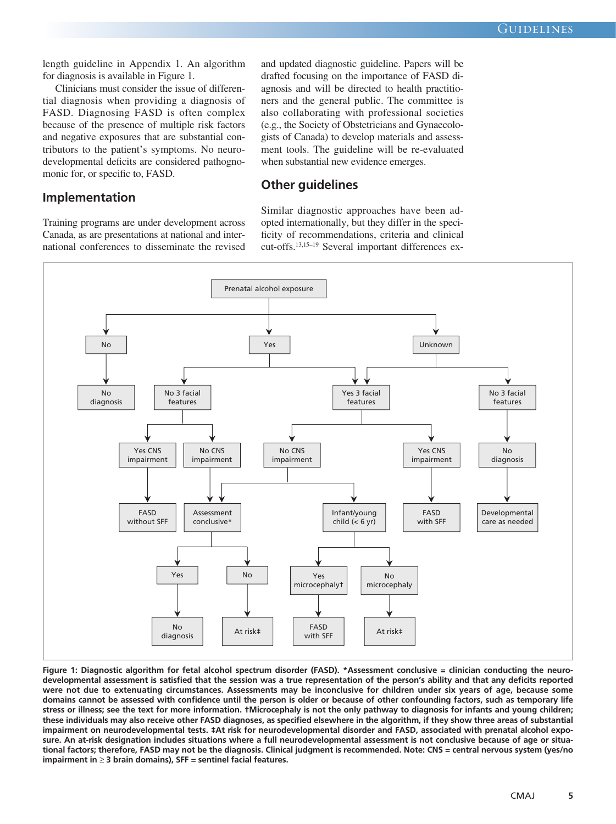length guideline in Appendix 1. An algorithm for diagnosis is available in Figure 1.

Clinicians must consider the issue of differential diagnosis when providing a diagnosis of FASD. Diagnosing FASD is often complex because of the presence of multiple risk factors and negative exposures that are substantial contributors to the patient's symptoms. No neurodevelopmental deficits are considered pathognomonic for, or specific to, FASD.

## **Implementation**

Training programs are under development across Canada, as are presentations at national and international conferences to disseminate the revised and updated diagnostic guideline. Papers will be drafted focusing on the importance of FASD diagnosis and will be directed to health practitioners and the general public. The committee is also collaborating with professional societies (e.g., the Society of Obstetricians and Gynaecologists of Canada) to develop materials and assessment tools. The guideline will be re-evaluated when substantial new evidence emerges.

## **Other guidelines**

Similar diagnostic approaches have been adopted internationally, but they differ in the specificity of recommendations, criteria and clinical cut-offs.13,15–19 Several important differences ex-



**Figure 1: Diagnostic algorithm for fetal alcohol spectrum disorder (FASD). \*Assessment conclusive = clinician conducting the neurodevelopmental assessment is satisfied that the session was a true representation of the person's ability and that any deficits reported were not due to extenuating circumstances. Assessments may be inconclusive for children under six years of age, because some domains cannot be assessed with confidence until the person is older or because of other confounding factors, such as temporary life stress or illness; see the text for more information. †Microcephaly is not the only pathway to diagnosis for infants and young children; these individuals may also receive other FASD diagnoses, as specified elsewhere in the algorithm, if they show three areas of substantial impairment on neurodevelopmental tests. ‡At risk for neurodevelopmental disorder and FASD, associated with prenatal alcohol exposure. An at-risk designation includes situations where a full neurodevelopmental assessment is not conclusive because of age or situational factors; therefore, FASD may not be the diagnosis. Clinical judgment is recommended. Note: CNS = central nervous system (yes/no impairment in** ≥ **3 brain domains), SFF = sentinel facial features.**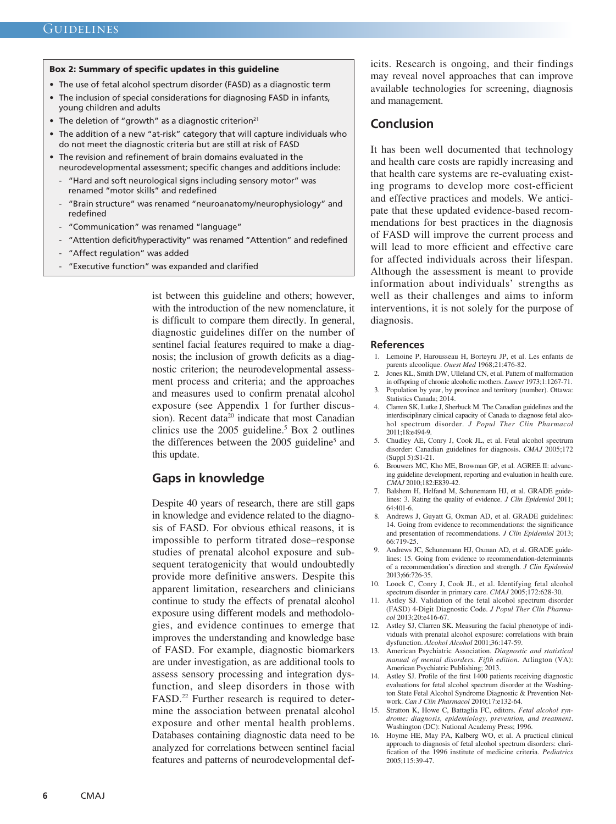#### Box 2: Summary of specific updates in this guideline

- The use of fetal alcohol spectrum disorder (FASD) as a diagnostic term
- The inclusion of special considerations for diagnosing FASD in infants, young children and adults
- The deletion of "growth" as a diagnostic criterion<sup>21</sup>
- The addition of a new "at-risk" category that will capture individuals who do not meet the diagnostic criteria but are still at risk of FASD
- The revision and refinement of brain domains evaluated in the neurodevelopmental assessment; specific changes and additions include:
	- "Hard and soft neurological signs including sensory motor" was renamed "motor skills" and redefined
	- "Brain structure" was renamed "neuroanatomy/neurophysiology" and redefined
	- "Communication" was renamed "language"
	- "Attention deficit/hyperactivity" was renamed "Attention" and redefined
	- "Affect regulation" was added
	- "Executive function" was expanded and clarified

ist between this guideline and others; however, with the introduction of the new nomenclature, it is difficult to compare them directly. In general, diagnostic guidelines differ on the number of sentinel facial features required to make a diagnosis; the inclusion of growth deficits as a diagnostic criterion; the neurodevelopmental assessment process and criteria; and the approaches and measures used to confirm prenatal alcohol exposure (see Appendix 1 for further discussion). Recent data<sup>20</sup> indicate that most Canadian clinics use the  $2005$  guideline.<sup>5</sup> Box 2 outlines the differences between the 2005 guideline<sup>5</sup> and this update.

## **Gaps in knowledge**

Despite 40 years of research, there are still gaps in knowledge and evidence related to the diagnosis of FASD. For obvious ethical reasons, it is impossible to perform titrated dose–response studies of prenatal alcohol exposure and subsequent teratogenicity that would undoubtedly provide more definitive answers. Despite this apparent limitation, researchers and clinicians continue to study the effects of prenatal alcohol exposure using different models and methodologies, and evidence continues to emerge that improves the understanding and knowledge base of FASD. For example, diagnostic biomarkers are under investigation, as are additional tools to assess sensory processing and integration dysfunction, and sleep disorders in those with FASD.<sup>22</sup> Further research is required to determine the association between prenatal alcohol exposure and other mental health problems. Databases containing diagnostic data need to be analyzed for correlations between sentinel facial features and patterns of neurodevelopmental deficits. Research is ongoing, and their findings may reveal novel approaches that can improve available technologies for screening, diagnosis and management.

## **Conclusion**

It has been well documented that technology and health care costs are rapidly increasing and that health care systems are re-evaluating existing programs to develop more cost-efficient and effective practices and models. We anticipate that these updated evidence-based recommendations for best practices in the diagnosis of FASD will improve the current process and will lead to more efficient and effective care for affected individuals across their lifespan. Although the assessment is meant to provide information about individuals' strengths as well as their challenges and aims to inform interventions, it is not solely for the purpose of diagnosis.

#### **References**

- 1. Lemoine P, Harousseau H, Borteyru JP, et al. Les enfants de parents alcoolique. *Ouest Med* 1968;21:476-82.
- 2. Jones KL, Smith DW, Ulleland CN, et al. Pattern of malformation in offspring of chronic alcoholic mothers. *Lancet* 1973;1:1267-71. Population by year, by province and territory (number). Ottawa:
- Statistics Canada; 2014. 4. Clarren SK, Lutke J, Sherbuck M. The Canadian guidelines and the
- interdisciplinary clinical capacity of Canada to diagnose fetal alcohol spectrum disorder. *J Popul Ther Clin Pharmacol* 2011;18:e494-9.
- 5. Chudley AE, Conry J, Cook JL, et al. Fetal alcohol spectrum disorder: Canadian guidelines for diagnosis. *CMAJ* 2005;172 (Suppl 5):S1-21.
- 6. Brouwers MC, Kho ME, Browman GP, et al. AGREE II: advancing guideline development, reporting and evaluation in health care. *CMAJ* 2010;182:E839-42.
- 7. Balshem H, Helfand M, Schunemann HJ, et al. GRADE guidelines: 3. Rating the quality of evidence. *J Clin Epidemiol* 2011; 64:401-6.
- 8. Andrews J, Guyatt G, Oxman AD, et al. GRADE guidelines: 14. Going from evidence to recommendations: the significance and presentation of recommendations. *J Clin Epidemiol* 2013; 66:719-25.
- 9. Andrews JC, Schunemann HJ, Oxman AD, et al. GRADE guidelines: 15. Going from evidence to recommendation-determinants of a recommendation's direction and strength. *J Clin Epidemiol* 2013;66:726-35.
- 10. Loock C, Conry J, Cook JL, et al. Identifying fetal alcohol spectrum disorder in primary care. *CMAJ* 2005;172:628-30.
- 11. Astley SJ. Validation of the fetal alcohol spectrum disorder (FASD) 4-Digit Diagnostic Code. *J Popul Ther Clin Pharmacol* 2013;20:e416-67.
- 12. Astley SJ, Clarren SK. Measuring the facial phenotype of individuals with prenatal alcohol exposure: correlations with brain dysfunction. *Alcohol Alcohol* 2001;36:147-59.
- 13. American Psychiatric Association. *Diagnostic and statistical manual of mental disorders. Fifth edition.* Arlington (VA): American Psychiatric Publishing; 2013.
- 14. Astley SJ. Profile of the first 1400 patients receiving diagnostic evaluations for fetal alcohol spectrum disorder at the Washington State Fetal Alcohol Syndrome Diagnostic & Prevention Network. *Can J Clin Pharmacol* 2010;17:e132-64.
- 15. Stratton K, Howe C, Battaglia FC, editors. *Fetal alcohol syndrome: diagnosis, epidemiology, prevention, and treatment*. Washington (DC): National Academy Press; 1996.
- 16. Hoyme HE, May PA, Kalberg WO, et al. A practical clinical approach to diagnosis of fetal alcohol spectrum disorders: clarification of the 1996 institute of medicine criteria. *Pediatrics*  2005;115:39-47.